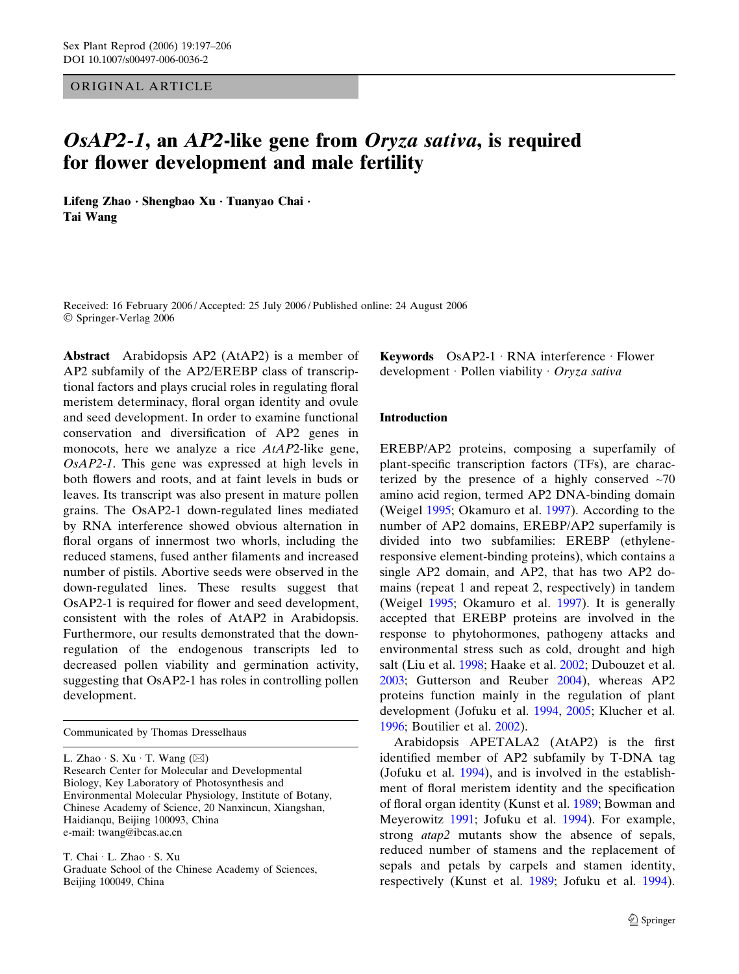## ORIGINAL ARTICLE

# OsAP2-1, an AP2-like gene from Oryza sativa, is required for flower development and male fertility

Lifeng Zhao · Shengbao Xu · Tuanyao Chai · Tai Wang

Received: 16 February 2006 / Accepted: 25 July 2006 / Published online: 24 August 2006 Springer-Verlag 2006

Abstract Arabidopsis AP2 (AtAP2) is a member of AP2 subfamily of the AP2/EREBP class of transcriptional factors and plays crucial roles in regulating floral meristem determinacy, floral organ identity and ovule and seed development. In order to examine functional conservation and diversification of AP2 genes in monocots, here we analyze a rice AtAP2-like gene, OsAP2-1. This gene was expressed at high levels in both flowers and roots, and at faint levels in buds or leaves. Its transcript was also present in mature pollen grains. The OsAP2-1 down-regulated lines mediated by RNA interference showed obvious alternation in floral organs of innermost two whorls, including the reduced stamens, fused anther filaments and increased number of pistils. Abortive seeds were observed in the down-regulated lines. These results suggest that OsAP2-1 is required for flower and seed development, consistent with the roles of AtAP2 in Arabidopsis. Furthermore, our results demonstrated that the downregulation of the endogenous transcripts led to decreased pollen viability and germination activity, suggesting that OsAP2-1 has roles in controlling pollen development.

Communicated by Thomas Dresselhaus

L. Zhao  $\cdot$  S. Xu  $\cdot$  T. Wang ( $\boxtimes$ ) Research Center for Molecular and Developmental Biology, Key Laboratory of Photosynthesis and Environmental Molecular Physiology, Institute of Botany, Chinese Academy of Science, 20 Nanxincun, Xiangshan, Haidianqu, Beijing 100093, China e-mail: twang@ibcas.ac.cn

T. Chai · L. Zhao · S. Xu Graduate School of the Chinese Academy of Sciences, Beijing 100049, China

Keywords  $OsAP2-1 \cdot RNA$  interference  $\cdot$  Flower development · Pollen viability · Oryza sativa

### Introduction

EREBP/AP2 proteins, composing a superfamily of plant-specific transcription factors (TFs), are characterized by the presence of a highly conserved  $\sim$ 70 amino acid region, termed AP2 DNA-binding domain (Weigel [1995;](#page-9-0) Okamuro et al. [1997](#page-9-0)). According to the number of AP2 domains, EREBP/AP2 superfamily is divided into two subfamilies: EREBP (ethyleneresponsive element-binding proteins), which contains a single AP2 domain, and AP2, that has two AP2 domains (repeat 1 and repeat 2, respectively) in tandem (Weigel [1995;](#page-9-0) Okamuro et al. [1997\)](#page-9-0). It is generally accepted that EREBP proteins are involved in the response to phytohormones, pathogeny attacks and environmental stress such as cold, drought and high salt (Liu et al. [1998;](#page-8-0) Haake et al. [2002](#page-8-0); Dubouzet et al. [2003](#page-8-0); Gutterson and Reuber [2004](#page-8-0)), whereas AP2 proteins function mainly in the regulation of plant development (Jofuku et al. [1994](#page-8-0), [2005;](#page-8-0) Klucher et al. [1996](#page-8-0); Boutilier et al. [2002](#page-8-0)).

Arabidopsis APETALA2 (AtAP2) is the first identified member of AP2 subfamily by T-DNA tag (Jofuku et al. [1994\)](#page-8-0), and is involved in the establishment of floral meristem identity and the specification of floral organ identity (Kunst et al. [1989](#page-8-0); Bowman and Meyerowitz [1991;](#page-8-0) Jofuku et al. [1994](#page-8-0)). For example, strong atap2 mutants show the absence of sepals, reduced number of stamens and the replacement of sepals and petals by carpels and stamen identity, respectively (Kunst et al. [1989;](#page-8-0) Jofuku et al. [1994\)](#page-8-0).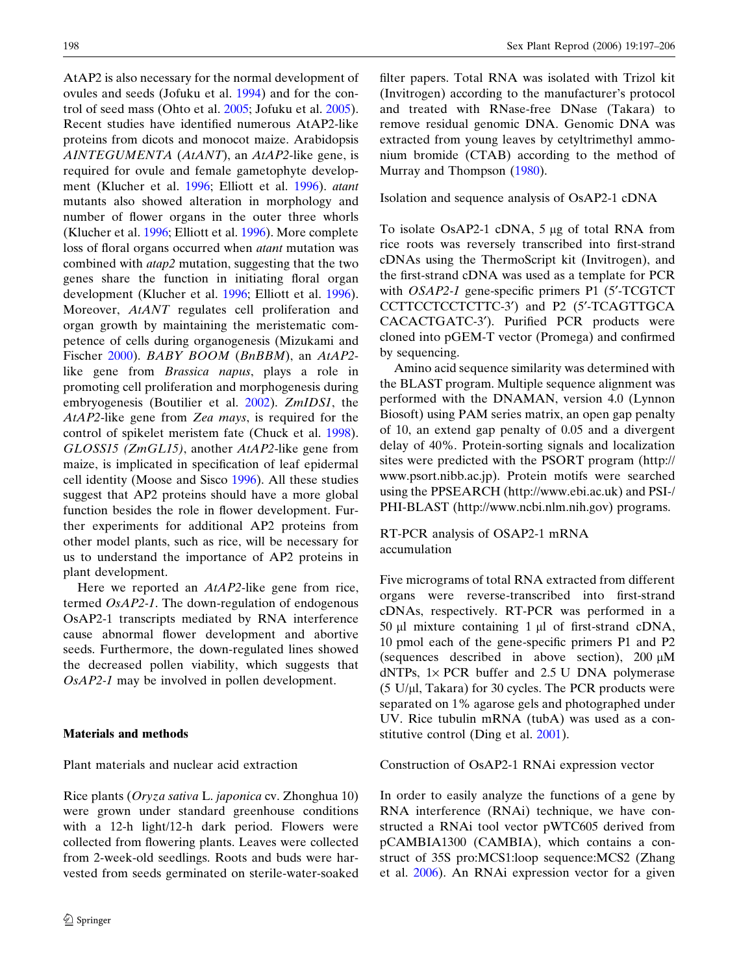<span id="page-1-0"></span>AtAP2 is also necessary for the normal development of ovules and seeds (Jofuku et al. [1994](#page-8-0)) and for the control of seed mass (Ohto et al. [2005;](#page-9-0) Jofuku et al. [2005\)](#page-8-0). Recent studies have identified numerous AtAP2-like proteins from dicots and monocot maize. Arabidopsis AINTEGUMENTA (AtANT), an AtAP2-like gene, is required for ovule and female gametophyte development (Klucher et al. [1996](#page-8-0); Elliott et al. [1996\)](#page-8-0). atant mutants also showed alteration in morphology and number of flower organs in the outer three whorls (Klucher et al. [1996;](#page-8-0) Elliott et al. [1996](#page-8-0)). More complete loss of floral organs occurred when atant mutation was combined with atap2 mutation, suggesting that the two genes share the function in initiating floral organ development (Klucher et al. [1996](#page-8-0); Elliott et al. [1996\)](#page-8-0). Moreover, AtANT regulates cell proliferation and organ growth by maintaining the meristematic competence of cells during organogenesis (Mizukami and Fischer [2000](#page-9-0)). BABY BOOM (BnBBM), an AtAP2 like gene from Brassica napus, plays a role in promoting cell proliferation and morphogenesis during embryogenesis (Boutilier et al. [2002\)](#page-8-0). ZmIDS1, the AtAP2-like gene from Zea mays, is required for the control of spikelet meristem fate (Chuck et al. [1998\)](#page-8-0). GLOSS15 (ZmGL15), another AtAP2-like gene from maize, is implicated in specification of leaf epidermal cell identity (Moose and Sisco [1996\)](#page-9-0). All these studies suggest that AP2 proteins should have a more global function besides the role in flower development. Further experiments for additional AP2 proteins from other model plants, such as rice, will be necessary for us to understand the importance of AP2 proteins in plant development.

Here we reported an *AtAP2*-like gene from rice, termed OsAP2-1. The down-regulation of endogenous OsAP2-1 transcripts mediated by RNA interference cause abnormal flower development and abortive seeds. Furthermore, the down-regulated lines showed the decreased pollen viability, which suggests that OsAP2-1 may be involved in pollen development.

#### Materials and methods

Plant materials and nuclear acid extraction

Rice plants (Oryza sativa L. japonica cv. Zhonghua 10) were grown under standard greenhouse conditions with a 12-h light/12-h dark period. Flowers were collected from flowering plants. Leaves were collected from 2-week-old seedlings. Roots and buds were harvested from seeds germinated on sterile-water-soaked filter papers. Total RNA was isolated with Trizol kit (Invitrogen) according to the manufacturer's protocol and treated with RNase-free DNase (Takara) to remove residual genomic DNA. Genomic DNA was extracted from young leaves by cetyltrimethyl ammonium bromide (CTAB) according to the method of Murray and Thompson ([1980\)](#page-9-0).

Isolation and sequence analysis of OsAP2-1 cDNA

To isolate OsAP2-1 cDNA, 5 µg of total RNA from rice roots was reversely transcribed into first-strand cDNAs using the ThermoScript kit (Invitrogen), and the first-strand cDNA was used as a template for PCR with *OSAP2-1* gene-specific primers P1 (5'-TCGTCT) CCTTCCTCCTCTTC-3') and P2 (5'-TCAGTTGCA CACACTGATC-3'). Purified PCR products were cloned into pGEM-T vector (Promega) and confirmed by sequencing.

Amino acid sequence similarity was determined with the BLAST program. Multiple sequence alignment was performed with the DNAMAN, version 4.0 (Lynnon Biosoft) using PAM series matrix, an open gap penalty of 10, an extend gap penalty of 0.05 and a divergent delay of 40%. Protein-sorting signals and localization sites were predicted with the PSORT program (http:// www.psort.nibb.ac.jp). Protein motifs were searched using the PPSEARCH (http://www.ebi.ac.uk) and PSI-/ PHI-BLAST (http://www.ncbi.nlm.nih.gov) programs.

RT-PCR analysis of OSAP2-1 mRNA accumulation

Five micrograms of total RNA extracted from different organs were reverse-transcribed into first-strand cDNAs, respectively. RT-PCR was performed in a 50  $\mu$ l mixture containing 1  $\mu$ l of first-strand cDNA, 10 pmol each of the gene-specific primers P1 and P2 (sequences described in above section),  $200 \mu M$ dNTPs,  $1 \times PCR$  buffer and  $2.5$  U DNA polymerase  $(5 \text{ U}/\mu\text{I}$ , Takara) for 30 cycles. The PCR products were separated on 1% agarose gels and photographed under UV. Rice tubulin mRNA (tubA) was used as a constitutive control (Ding et al. [2001\)](#page-8-0).

Construction of OsAP2-1 RNAi expression vector

In order to easily analyze the functions of a gene by RNA interference (RNAi) technique, we have constructed a RNAi tool vector pWTC605 derived from pCAMBIA1300 (CAMBIA), which contains a construct of 35S pro:MCS1:loop sequence:MCS2 (Zhang et al. [2006](#page-9-0)). An RNAi expression vector for a given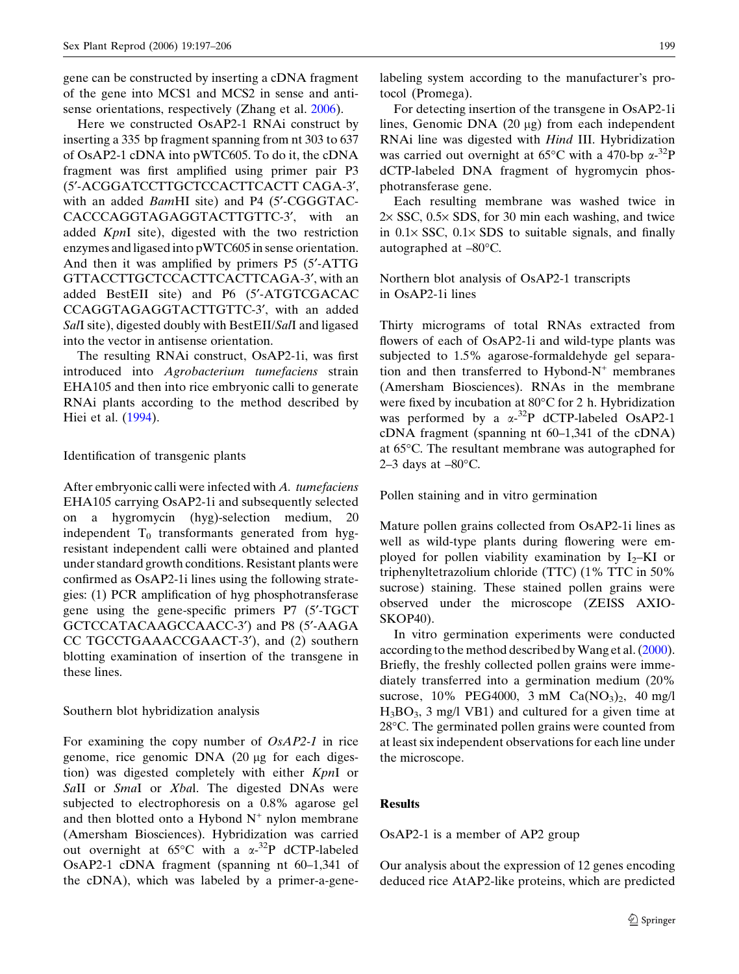gene can be constructed by inserting a cDNA fragment of the gene into MCS1 and MCS2 in sense and antisense orientations, respectively (Zhang et al. [2006\)](#page-9-0).

Here we constructed OsAP2-1 RNAi construct by inserting a 335 bp fragment spanning from nt 303 to 637 of OsAP2-1 cDNA into pWTC605. To do it, the cDNA fragment was first amplified using primer pair P3 (5¢-ACGGATCCTTGCTCCACTTCACTT CAGA-3¢, with an added *BamHI* site) and P4 (5'-CGGGTAC-CACCCAGGTAGAGGTACTTGTTC-3', with an added KpnI site), digested with the two restriction enzymes and ligased into pWTC605 in sense orientation. And then it was amplified by primers P5 (5'-ATTG GTTACCTTGCTCCACTTCACTTCAGA-3', with an added BestEII site) and P6 (5¢-ATGTCGACAC CCAGGTAGAGGTACTTGTTC-3', with an added SalI site), digested doubly with BestEII/SalI and ligased into the vector in antisense orientation.

The resulting RNAi construct, OsAP2-1i, was first introduced into Agrobacterium tumefaciens strain EHA105 and then into rice embryonic calli to generate RNAi plants according to the method described by Hiei et al. [\(1994](#page-8-0)).

#### Identification of transgenic plants

After embryonic calli were infected with A. tumefaciens EHA105 carrying OsAP2-1i and subsequently selected on a hygromycin (hyg)-selection medium, 20 independent  $T_0$  transformants generated from hygresistant independent calli were obtained and planted under standard growth conditions. Resistant plants were confirmed as OsAP2-1i lines using the following strategies: (1) PCR amplification of hyg phosphotransferase gene using the gene-specific primers P7 (5'-TGCT GCTCCATACAAGCCAACC-3') and P8 (5'-AAGA CC TGCCTGAAACCGAACT-3'), and (2) southern blotting examination of insertion of the transgene in these lines.

## Southern blot hybridization analysis

For examining the copy number of OsAP2-1 in rice genome, rice genomic DNA (20 µg for each digestion) was digested completely with either KpnI or SaII or SmaI or Xbal. The digested DNAs were subjected to electrophoresis on a 0.8% agarose gel and then blotted onto a Hybond  $N^+$  nylon membrane (Amersham Biosciences). Hybridization was carried out overnight at  $65^{\circ}$ C with a  $\alpha^{-32}$ P dCTP-labeled OsAP2-1 cDNA fragment (spanning nt 60–1,341 of the cDNA), which was labeled by a primer-a-genelabeling system according to the manufacturer's protocol (Promega).

For detecting insertion of the transgene in OsAP2-1i lines, Genomic DNA  $(20 \mu g)$  from each independent RNAi line was digested with Hind III. Hybridization was carried out overnight at 65 $\mathrm{^{\circ}C}$  with a 470-bp  $\alpha$ -<sup>32</sup>P dCTP-labeled DNA fragment of hygromycin phosphotransferase gene.

Each resulting membrane was washed twice in  $2 \times$  SSC, 0.5 $\times$  SDS, for 30 min each washing, and twice in  $0.1 \times$  SSC,  $0.1 \times$  SDS to suitable signals, and finally autographed at  $-80^{\circ}$ C.

Northern blot analysis of OsAP2-1 transcripts in OsAP2-1i lines

Thirty micrograms of total RNAs extracted from flowers of each of OsAP2-1i and wild-type plants was subjected to 1.5% agarose-formaldehyde gel separation and then transferred to Hybond- $N^+$  membranes (Amersham Biosciences). RNAs in the membrane were fixed by incubation at  $80^{\circ}$ C for 2 h. Hybridization was performed by a  $\alpha^{-32}P$  dCTP-labeled OsAP2-1 cDNA fragment (spanning nt 60–1,341 of the cDNA) at 65 °C. The resultant membrane was autographed for 2–3 days at –80 $^{\circ}$ C.

Pollen staining and in vitro germination

Mature pollen grains collected from OsAP2-1i lines as well as wild-type plants during flowering were employed for pollen viability examination by  $I_2-KI$  or triphenyltetrazolium chloride (TTC) (1% TTC in 50% sucrose) staining. These stained pollen grains were observed under the microscope (ZEISS AXIO-SKOP40).

In vitro germination experiments were conducted according to the method described by Wang et al. ([2000\)](#page-9-0). Briefly, the freshly collected pollen grains were immediately transferred into a germination medium (20% sucrose,  $10\%$  PEG4000,  $3 \text{ mM } Ca(\text{NO}_3)_2$ ,  $40 \text{ mg/l}$  $H_3BO_3$ , 3 mg/l VB1) and cultured for a given time at 28°C. The germinated pollen grains were counted from at least six independent observations for each line under the microscope.

## Results

OsAP2-1 is a member of AP2 group

Our analysis about the expression of 12 genes encoding deduced rice AtAP2-like proteins, which are predicted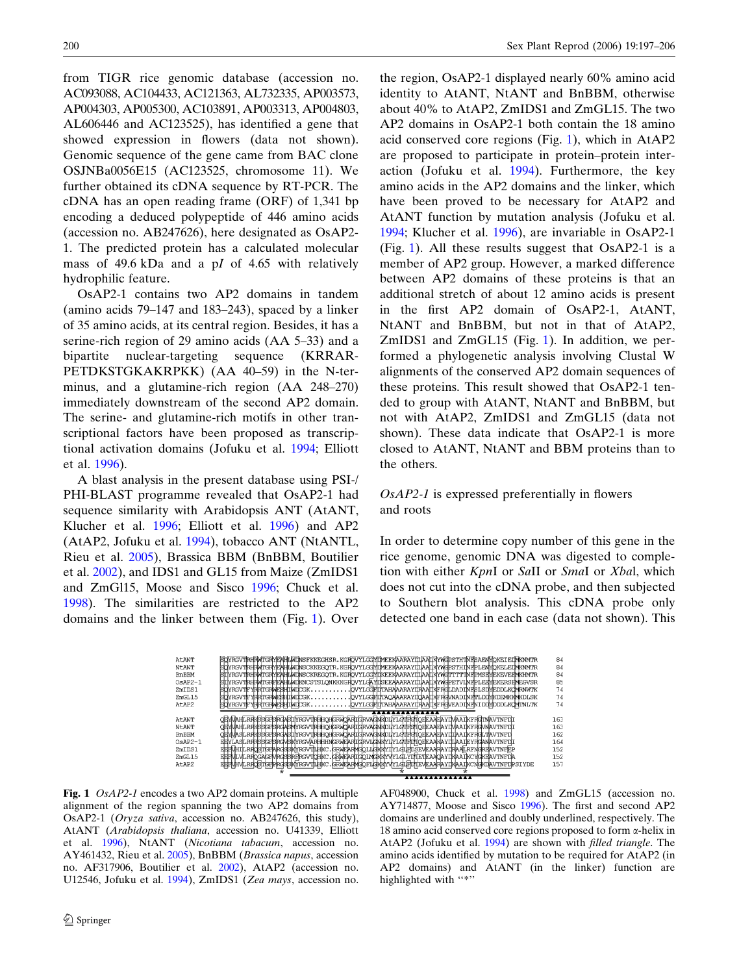<span id="page-3-0"></span>from TIGR rice genomic database (accession no. AC093088, AC104433, AC121363, AL732335, AP003573, AP004303, AP005300, AC103891, AP003313, AP004803, AL606446 and AC123525), has identified a gene that showed expression in flowers (data not shown). Genomic sequence of the gene came from BAC clone OSJNBa0056E15 (AC123525, chromosome 11). We further obtained its cDNA sequence by RT-PCR. The cDNA has an open reading frame (ORF) of 1,341 bp encoding a deduced polypeptide of 446 amino acids (accession no. AB247626), here designated as OsAP2- 1. The predicted protein has a calculated molecular mass of 49.6 kDa and a pI of 4.65 with relatively hydrophilic feature.

OsAP2-1 contains two AP2 domains in tandem (amino acids 79–147 and 183–243), spaced by a linker of 35 amino acids, at its central region. Besides, it has a serine-rich region of 29 amino acids (AA 5–33) and a bipartite nuclear-targeting sequence (KRRAR-PETDKSTGKAKRPKK) (AA 40–59) in the N-terminus, and a glutamine-rich region (AA 248–270) immediately downstream of the second AP2 domain. The serine- and glutamine-rich motifs in other transcriptional factors have been proposed as transcriptional activation domains (Jofuku et al. [1994](#page-8-0); Elliott et al. [1996](#page-8-0)).

A blast analysis in the present database using PSI-/ PHI-BLAST programme revealed that OsAP2-1 had sequence similarity with Arabidopsis ANT (AtANT, Klucher et al. [1996](#page-8-0); Elliott et al. [1996](#page-8-0)) and AP2 (AtAP2, Jofuku et al. [1994\)](#page-8-0), tobacco ANT (NtANTL, Rieu et al. [2005\)](#page-9-0), Brassica BBM (BnBBM, Boutilier et al. [2002\)](#page-8-0), and IDS1 and GL15 from Maize (ZmIDS1 and ZmGl15, Moose and Sisco [1996;](#page-9-0) Chuck et al. [1998\)](#page-8-0). The similarities are restricted to the AP2 domains and the linker between them (Fig. 1). Over

the region, OsAP2-1 displayed nearly 60% amino acid identity to AtANT, NtANT and BnBBM, otherwise about 40% to AtAP2, ZmIDS1 and ZmGL15. The two AP2 domains in OsAP2-1 both contain the 18 amino acid conserved core regions (Fig. 1), which in AtAP2 are proposed to participate in protein–protein interaction (Jofuku et al. [1994\)](#page-8-0). Furthermore, the key amino acids in the AP2 domains and the linker, which have been proved to be necessary for AtAP2 and AtANT function by mutation analysis (Jofuku et al. [1994](#page-8-0); Klucher et al. [1996](#page-8-0)), are invariable in OsAP2-1 (Fig. 1). All these results suggest that OsAP2-1 is a member of AP2 group. However, a marked difference between AP2 domains of these proteins is that an additional stretch of about 12 amino acids is present in the first AP2 domain of OsAP2-1, AtANT, NtANT and BnBBM, but not in that of AtAP2, ZmIDS1 and ZmGL15 (Fig. 1). In addition, we performed a phylogenetic analysis involving Clustal W alignments of the conserved AP2 domain sequences of these proteins. This result showed that OsAP2-1 tended to group with AtANT, NtANT and BnBBM, but not with AtAP2, ZmIDS1 and ZmGL15 (data not shown). These data indicate that OsAP2-1 is more closed to AtANT, NtANT and BBM proteins than to the others.

## OsAP2-1 is expressed preferentially in flowers and roots

In order to determine copy number of this gene in the rice genome, genomic DNA was digested to completion with either KpnI or SaII or SmaI or Xbal, which does not cut into the cDNA probe, and then subjected to Southern blot analysis. This cDNA probe only detected one band in each case (data not shown). This



Fig. 1 OsAP2-1 encodes a two AP2 domain proteins. A multiple alignment of the region spanning the two AP2 domains from OsAP2-1 (Oryza sativa, accession no. AB247626, this study), AtANT (Arabidopsis thaliana, accession no. U41339, Elliott et al. [1996](#page-8-0)), NtANT (Nicotiana tabacum, accession no. AY461432, Rieu et al. [2005\)](#page-9-0), BnBBM (Brassica napus, accession no. AF317906, Boutilier et al. [2002](#page-8-0)), AtAP2 (accession no. U12546, Jofuku et al. [1994\)](#page-8-0), ZmIDS1 (Zea mays, accession no. AF048900, Chuck et al. [1998](#page-8-0)) and ZmGL15 (accession no. AY714877, Moose and Sisco [1996](#page-9-0)). The first and second AP2 domains are underlined and doubly underlined, respectively. The 18 amino acid conserved core regions proposed to form a-helix in AtAP2 (Jofuku et al. [1994\)](#page-8-0) are shown with filled triangle. The amino acids identified by mutation to be required for AtAP2 (in AP2 domains) and AtANT (in the linker) function are highlighted with "\*"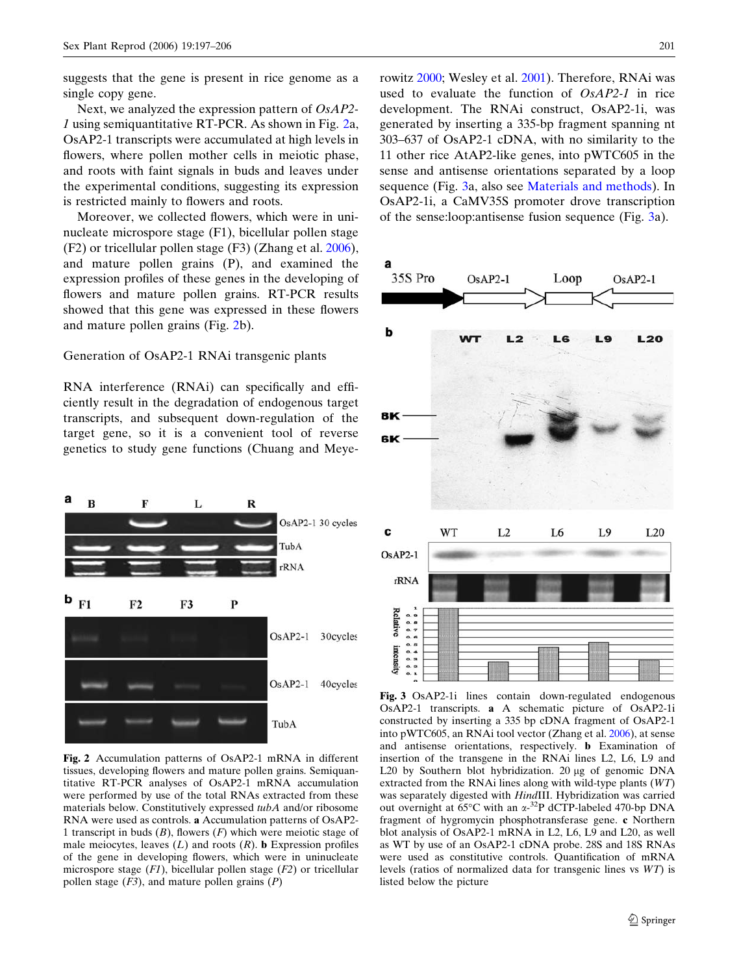<span id="page-4-0"></span>suggests that the gene is present in rice genome as a single copy gene.

Next, we analyzed the expression pattern of OsAP2- 1 using semiquantitative RT-PCR. As shown in Fig. 2a, OsAP2-1 transcripts were accumulated at high levels in flowers, where pollen mother cells in meiotic phase, and roots with faint signals in buds and leaves under the experimental conditions, suggesting its expression is restricted mainly to flowers and roots.

Moreover, we collected flowers, which were in uninucleate microspore stage (F1), bicellular pollen stage (F2) or tricellular pollen stage (F3) (Zhang et al. [2006\)](#page-9-0), and mature pollen grains (P), and examined the expression profiles of these genes in the developing of flowers and mature pollen grains. RT-PCR results showed that this gene was expressed in these flowers and mature pollen grains (Fig. 2b).

## Generation of OsAP2-1 RNAi transgenic plants

RNA interference (RNAi) can specifically and efficiently result in the degradation of endogenous target transcripts, and subsequent down-regulation of the target gene, so it is a convenient tool of reverse genetics to study gene functions (Chuang and Meye-



Fig. 2 Accumulation patterns of OsAP2-1 mRNA in different tissues, developing flowers and mature pollen grains. Semiquantitative RT-PCR analyses of OsAP2-1 mRNA accumulation were performed by use of the total RNAs extracted from these materials below. Constitutively expressed tubA and/or ribosome RNA were used as controls. a Accumulation patterns of OsAP2- 1 transcript in buds  $(B)$ , flowers  $(F)$  which were meiotic stage of male meiocytes, leaves  $(L)$  and roots  $(R)$ . **b** Expression profiles of the gene in developing flowers, which were in uninucleate microspore stage  $(F1)$ , bicellular pollen stage  $(F2)$  or tricellular pollen stage  $(F3)$ , and mature pollen grains  $(P)$ 

rowitz [2000](#page-8-0); Wesley et al. [2001](#page-9-0)). Therefore, RNAi was used to evaluate the function of OsAP2-1 in rice development. The RNAi construct, OsAP2-1i, was generated by inserting a 335-bp fragment spanning nt 303–637 of OsAP2-1 cDNA, with no similarity to the 11 other rice AtAP2-like genes, into pWTC605 in the sense and antisense orientations separated by a loop sequence (Fig. 3a, also see [Materials and methods](#page-1-0)). In OsAP2-1i, a CaMV35S promoter drove transcription of the sense:loop:antisense fusion sequence (Fig. 3a).



Fig. 3 OsAP2-1i lines contain down-regulated endogenous OsAP2-1 transcripts. a A schematic picture of OsAP2-1i constructed by inserting a 335 bp cDNA fragment of OsAP2-1 into pWTC605, an RNAi tool vector (Zhang et al. [2006](#page-9-0)), at sense and antisense orientations, respectively. b Examination of insertion of the transgene in the RNAi lines L2, L6, L9 and L20 by Southern blot hybridization.  $20 \mu$ g of genomic DNA extracted from the RNAi lines along with wild-type plants (WT) was separately digested with HindIII. Hybridization was carried out overnight at 65°C with an  $\alpha$ -<sup>32</sup>P dCTP-labeled 470-bp DNA fragment of hygromycin phosphotransferase gene. c Northern blot analysis of OsAP2-1 mRNA in L2, L6, L9 and L20, as well as WT by use of an OsAP2-1 cDNA probe. 28S and 18S RNAs were used as constitutive controls. Quantification of mRNA levels (ratios of normalized data for transgenic lines vs WT) is listed below the picture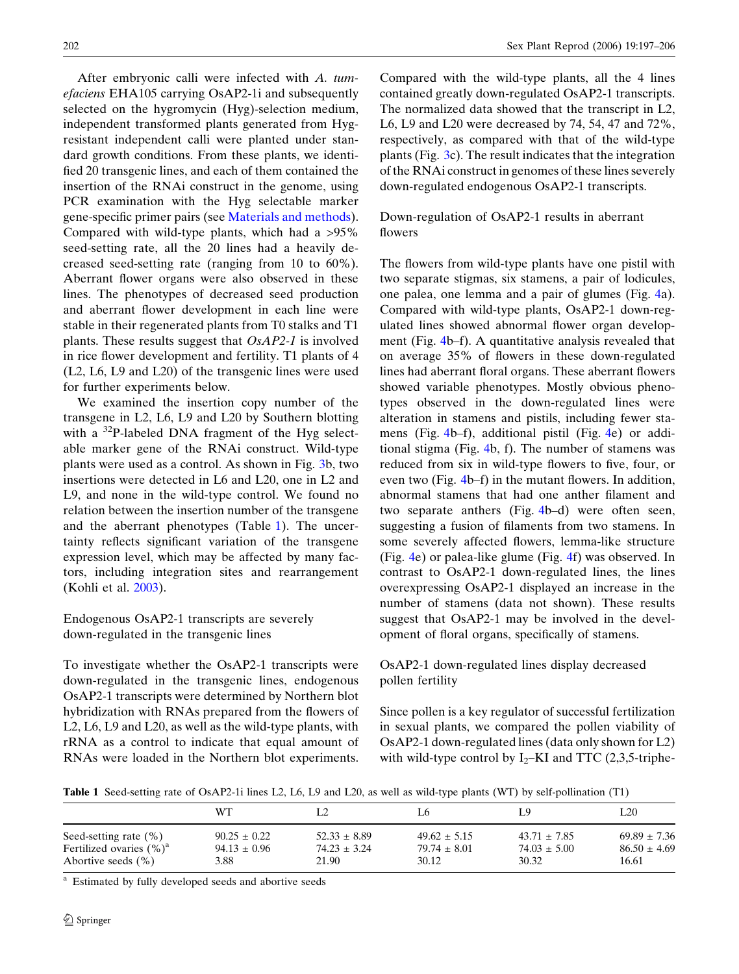<span id="page-5-0"></span>After embryonic calli were infected with A. tumefaciens EHA105 carrying OsAP2-1i and subsequently selected on the hygromycin (Hyg)-selection medium, independent transformed plants generated from Hygresistant independent calli were planted under standard growth conditions. From these plants, we identified 20 transgenic lines, and each of them contained the insertion of the RNAi construct in the genome, using PCR examination with the Hyg selectable marker gene-specific primer pairs (see [Materials and methods\)](#page-1-0). Compared with wild-type plants, which had a >95% seed-setting rate, all the 20 lines had a heavily decreased seed-setting rate (ranging from 10 to 60%). Aberrant flower organs were also observed in these lines. The phenotypes of decreased seed production and aberrant flower development in each line were stable in their regenerated plants from T0 stalks and T1 plants. These results suggest that OsAP2-1 is involved in rice flower development and fertility. T1 plants of 4 (L2, L6, L9 and L20) of the transgenic lines were used for further experiments below.

We examined the insertion copy number of the transgene in L2, L6, L9 and L20 by Southern blotting with a <sup>32</sup>P-labeled DNA fragment of the Hyg selectable marker gene of the RNAi construct. Wild-type plants were used as a control. As shown in Fig. [3](#page-4-0)b, two insertions were detected in L6 and L20, one in L2 and L9, and none in the wild-type control. We found no relation between the insertion number of the transgene and the aberrant phenotypes (Table 1). The uncertainty reflects significant variation of the transgene expression level, which may be affected by many factors, including integration sites and rearrangement (Kohli et al. [2003\)](#page-8-0).

## Endogenous OsAP2-1 transcripts are severely down-regulated in the transgenic lines

To investigate whether the OsAP2-1 transcripts were down-regulated in the transgenic lines, endogenous OsAP2-1 transcripts were determined by Northern blot hybridization with RNAs prepared from the flowers of L2, L6, L9 and L20, as well as the wild-type plants, with rRNA as a control to indicate that equal amount of RNAs were loaded in the Northern blot experiments. Compared with the wild-type plants, all the 4 lines contained greatly down-regulated OsAP2-1 transcripts. The normalized data showed that the transcript in L2, L6, L9 and L20 were decreased by 74, 54, 47 and 72%, respectively, as compared with that of the wild-type plants (Fig. [3c](#page-4-0)). The result indicates that the integration of the RNAi construct in genomes of these lines severely down-regulated endogenous OsAP2-1 transcripts.

## Down-regulation of OsAP2-1 results in aberrant flowers

The flowers from wild-type plants have one pistil with two separate stigmas, six stamens, a pair of lodicules, one palea, one lemma and a pair of glumes (Fig. [4a](#page-6-0)). Compared with wild-type plants, OsAP2-1 down-regulated lines showed abnormal flower organ development (Fig. [4b](#page-6-0)–f). A quantitative analysis revealed that on average 35% of flowers in these down-regulated lines had aberrant floral organs. These aberrant flowers showed variable phenotypes. Mostly obvious phenotypes observed in the down-regulated lines were alteration in stamens and pistils, including fewer stamens (Fig. [4b](#page-6-0)–f), additional pistil (Fig. [4e](#page-6-0)) or additional stigma (Fig. [4b](#page-6-0), f). The number of stamens was reduced from six in wild-type flowers to five, four, or even two (Fig. [4](#page-6-0)b–f) in the mutant flowers. In addition, abnormal stamens that had one anther filament and two separate anthers (Fig. [4](#page-6-0)b–d) were often seen, suggesting a fusion of filaments from two stamens. In some severely affected flowers, lemma-like structure (Fig. [4e](#page-6-0)) or palea-like glume (Fig. [4f](#page-6-0)) was observed. In contrast to OsAP2-1 down-regulated lines, the lines overexpressing OsAP2-1 displayed an increase in the number of stamens (data not shown). These results suggest that OsAP2-1 may be involved in the development of floral organs, specifically of stamens.

## OsAP2-1 down-regulated lines display decreased pollen fertility

Since pollen is a key regulator of successful fertilization in sexual plants, we compared the pollen viability of OsAP2-1 down-regulated lines (data only shown for L2) with wild-type control by  $I_2$ –KI and TTC (2,3,5-triphe-

Table 1 Seed-setting rate of OsAP2-1i lines L2, L6, L9 and L20, as well as wild-type plants (WT) by self-pollination (T1)

|                              | WТ               |                  | L6               | L9               | L20              |
|------------------------------|------------------|------------------|------------------|------------------|------------------|
| Seed-setting rate $(\% )$    | $90.25 \pm 0.22$ | $52.33 \pm 8.89$ | $49.62 \pm 5.15$ | $43.71 \pm 7.85$ | $69.89 \pm 7.36$ |
| Fertilized ovaries $(\% )^a$ | $94.13 \pm 0.96$ | $74.23 \pm 3.24$ | $79.74 \pm 8.01$ | $74.03 \pm 5.00$ | $86.50 \pm 4.69$ |
| Abortive seeds $(\% )$       | 3.88             | 21.90            | 30.12            | 30.32            | 16.61            |

Estimated by fully developed seeds and abortive seeds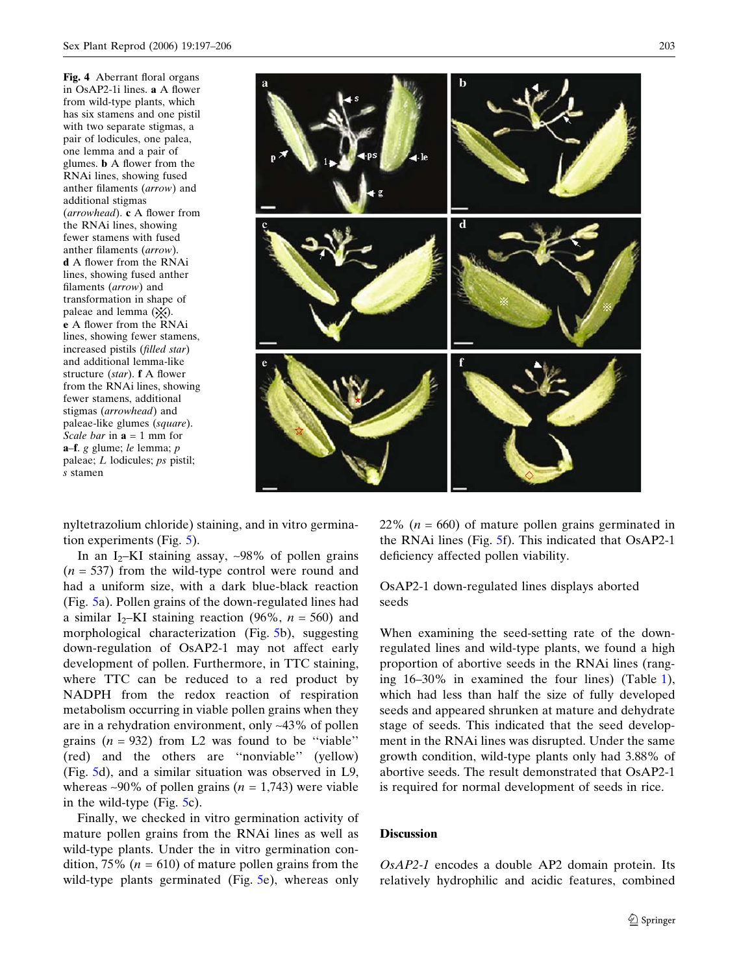Fig. 4 Aberrant floral organs in OsAP2-1i lines. a A flower from wild-type plants, which has six stamens and one pistil with two separate stigmas, a pair of lodicules, one palea, one lemma and a pair of glumes. b A flower from the RNAi lines, showing fused anther filaments (arrow) and additional stigmas (arrowhead). c A flower from the RNAi lines, showing fewer stamens with fused anther filaments (arrow). d A flower from the RNAi lines, showing fused anther filaments (arrow) and transformation in shape of paleae and lemma  $(\cdot \times)$ . e A flower from the RNAi lines, showing fewer stamens, increased pistils (filled star) and additional lemma-like structure (star). f A flower from the RNAi lines, showing fewer stamens, additional stigmas (arrowhead) and paleae-like glumes (square). Scale bar in  $\mathbf{a} = 1$  mm for a–f. g glume; le lemma; p paleae; L lodicules; ps pistil; s stamen

<span id="page-6-0"></span>

nyltetrazolium chloride) staining, and in vitro germination experiments (Fig. [5\)](#page-7-0).

In an I<sub>2</sub>–KI staining assay,  $\sim$ 98% of pollen grains  $(n = 537)$  from the wild-type control were round and had a uniform size, with a dark blue-black reaction (Fig. [5a](#page-7-0)). Pollen grains of the down-regulated lines had a similar I<sub>2</sub>–KI staining reaction (96%,  $n = 560$ ) and morphological characterization (Fig. [5b](#page-7-0)), suggesting down-regulation of OsAP2-1 may not affect early development of pollen. Furthermore, in TTC staining, where TTC can be reduced to a red product by NADPH from the redox reaction of respiration metabolism occurring in viable pollen grains when they are in a rehydration environment, only ~43% of pollen grains  $(n = 932)$  from L2 was found to be "viable" (red) and the others are ''nonviable'' (yellow) (Fig. [5d](#page-7-0)), and a similar situation was observed in L9, whereas ~90% of pollen grains ( $n = 1,743$ ) were viable in the wild-type (Fig. [5](#page-7-0)c).

Finally, we checked in vitro germination activity of mature pollen grains from the RNAi lines as well as wild-type plants. Under the in vitro germination condition, 75% ( $n = 610$ ) of mature pollen grains from the wild-type plants germinated (Fig. [5](#page-7-0)e), whereas only 22% ( $n = 660$ ) of mature pollen grains germinated in the RNAi lines (Fig. [5](#page-7-0)f). This indicated that OsAP2-1 deficiency affected pollen viability.

OsAP2-1 down-regulated lines displays aborted seeds

When examining the seed-setting rate of the downregulated lines and wild-type plants, we found a high proportion of abortive seeds in the RNAi lines (ranging 16–30% in examined the four lines) (Table [1\)](#page-5-0), which had less than half the size of fully developed seeds and appeared shrunken at mature and dehydrate stage of seeds. This indicated that the seed development in the RNAi lines was disrupted. Under the same growth condition, wild-type plants only had 3.88% of abortive seeds. The result demonstrated that OsAP2-1 is required for normal development of seeds in rice.

## **Discussion**

OsAP2-1 encodes a double AP2 domain protein. Its relatively hydrophilic and acidic features, combined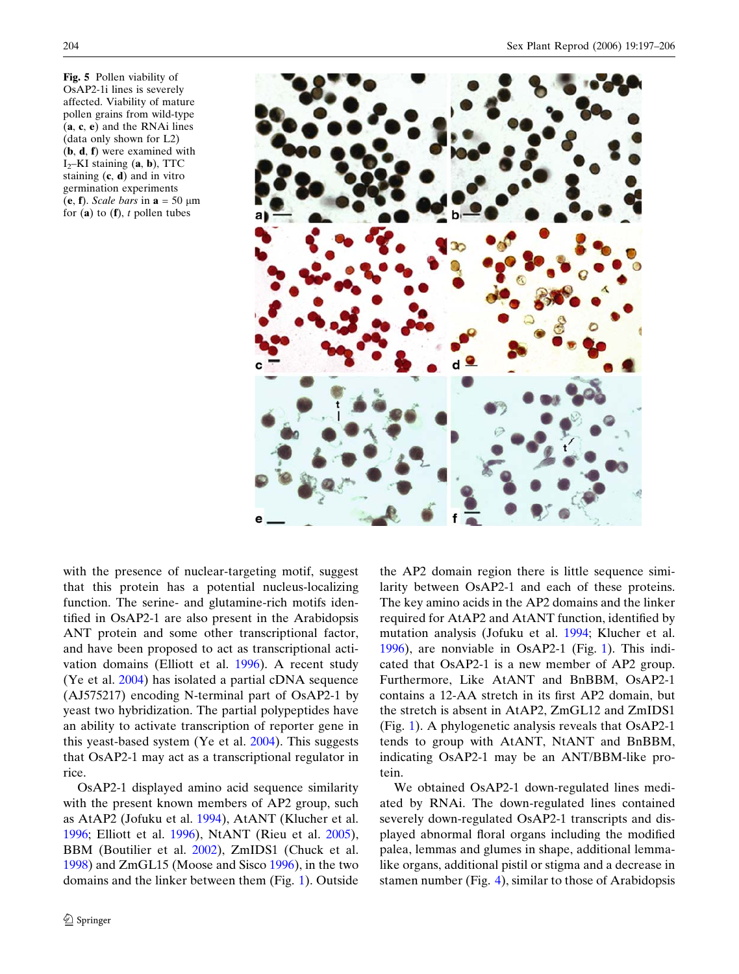<span id="page-7-0"></span>Fig. 5 Pollen viability of OsAP2-1i lines is severely affected. Viability of mature pollen grains from wild-type (a, c, e) and the RNAi lines (data only shown for L2) (b, d, f) were examined with  $I_2$ –KI staining  $(a, b)$ , TTC staining  $(c, d)$  and in vitro germination experiments (e, f). Scale bars in  $\mathbf{a} = 50 \ \mu \text{m}$ for  $(a)$  to  $(f)$ , t pollen tubes



with the presence of nuclear-targeting motif, suggest that this protein has a potential nucleus-localizing function. The serine- and glutamine-rich motifs identified in OsAP2-1 are also present in the Arabidopsis ANT protein and some other transcriptional factor, and have been proposed to act as transcriptional activation domains (Elliott et al. [1996](#page-8-0)). A recent study (Ye et al. [2004\)](#page-9-0) has isolated a partial cDNA sequence (AJ575217) encoding N-terminal part of OsAP2-1 by yeast two hybridization. The partial polypeptides have an ability to activate transcription of reporter gene in this yeast-based system (Ye et al. [2004\)](#page-9-0). This suggests that OsAP2-1 may act as a transcriptional regulator in rice.

OsAP2-1 displayed amino acid sequence similarity with the present known members of AP2 group, such as AtAP2 (Jofuku et al. [1994\)](#page-8-0), AtANT (Klucher et al. [1996;](#page-8-0) Elliott et al. [1996](#page-8-0)), NtANT (Rieu et al. [2005\)](#page-9-0), BBM (Boutilier et al. [2002](#page-8-0)), ZmIDS1 (Chuck et al. [1998\)](#page-8-0) and ZmGL15 (Moose and Sisco [1996](#page-9-0)), in the two domains and the linker between them (Fig. [1\)](#page-3-0). Outside the AP2 domain region there is little sequence similarity between OsAP2-1 and each of these proteins. The key amino acids in the AP2 domains and the linker required for AtAP2 and AtANT function, identified by mutation analysis (Jofuku et al. [1994](#page-8-0); Klucher et al. [1996](#page-8-0)), are nonviable in OsAP2-1 (Fig. [1\)](#page-3-0). This indicated that OsAP2-1 is a new member of AP2 group. Furthermore, Like AtANT and BnBBM, OsAP2-1 contains a 12-AA stretch in its first AP2 domain, but the stretch is absent in AtAP2, ZmGL12 and ZmIDS1 (Fig. [1\)](#page-3-0). A phylogenetic analysis reveals that OsAP2-1 tends to group with AtANT, NtANT and BnBBM, indicating OsAP2-1 may be an ANT/BBM-like protein.

We obtained OsAP2-1 down-regulated lines mediated by RNAi. The down-regulated lines contained severely down-regulated OsAP2-1 transcripts and displayed abnormal floral organs including the modified palea, lemmas and glumes in shape, additional lemmalike organs, additional pistil or stigma and a decrease in stamen number (Fig. [4\)](#page-6-0), similar to those of Arabidopsis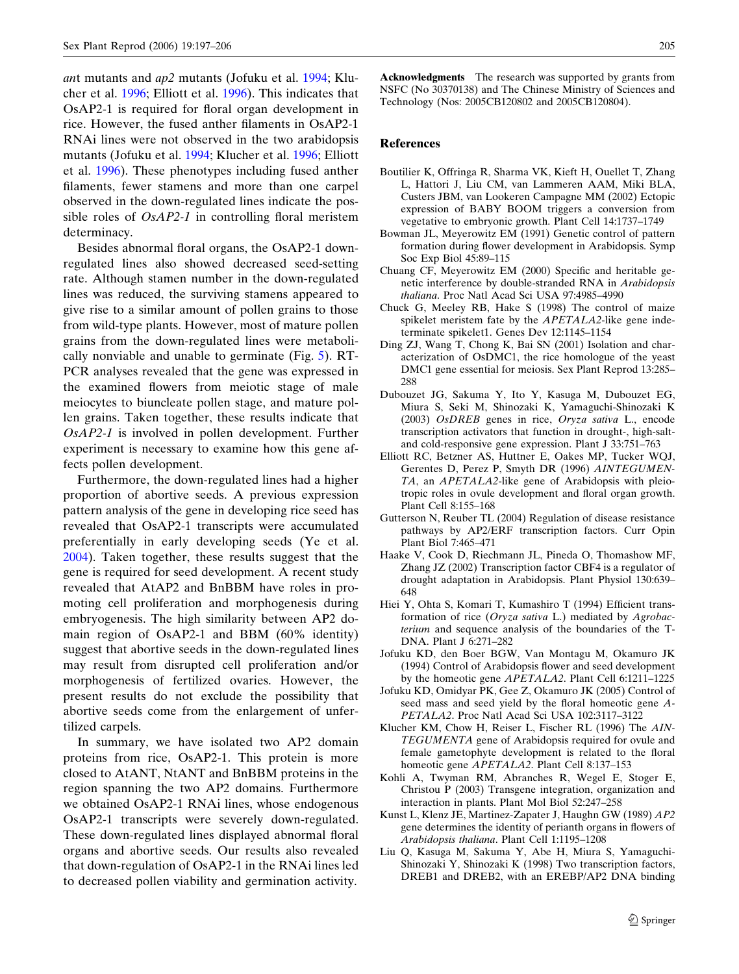<span id="page-8-0"></span>ant mutants and ap2 mutants (Jofuku et al. 1994; Klucher et al. 1996; Elliott et al. 1996). This indicates that OsAP2-1 is required for floral organ development in rice. However, the fused anther filaments in OsAP2-1 RNAi lines were not observed in the two arabidopsis mutants (Jofuku et al. 1994; Klucher et al. 1996; Elliott et al. 1996). These phenotypes including fused anther filaments, fewer stamens and more than one carpel observed in the down-regulated lines indicate the possible roles of OsAP2-1 in controlling floral meristem determinacy.

Besides abnormal floral organs, the OsAP2-1 downregulated lines also showed decreased seed-setting rate. Although stamen number in the down-regulated lines was reduced, the surviving stamens appeared to give rise to a similar amount of pollen grains to those from wild-type plants. However, most of mature pollen grains from the down-regulated lines were metabolically nonviable and unable to germinate (Fig. [5](#page-7-0)). RT-PCR analyses revealed that the gene was expressed in the examined flowers from meiotic stage of male meiocytes to biuncleate pollen stage, and mature pollen grains. Taken together, these results indicate that OsAP2-1 is involved in pollen development. Further experiment is necessary to examine how this gene affects pollen development.

Furthermore, the down-regulated lines had a higher proportion of abortive seeds. A previous expression pattern analysis of the gene in developing rice seed has revealed that OsAP2-1 transcripts were accumulated preferentially in early developing seeds (Ye et al. [2004\)](#page-9-0). Taken together, these results suggest that the gene is required for seed development. A recent study revealed that AtAP2 and BnBBM have roles in promoting cell proliferation and morphogenesis during embryogenesis. The high similarity between AP2 domain region of OsAP2-1 and BBM (60% identity) suggest that abortive seeds in the down-regulated lines may result from disrupted cell proliferation and/or morphogenesis of fertilized ovaries. However, the present results do not exclude the possibility that abortive seeds come from the enlargement of unfertilized carpels.

In summary, we have isolated two AP2 domain proteins from rice, OsAP2-1. This protein is more closed to AtANT, NtANT and BnBBM proteins in the region spanning the two AP2 domains. Furthermore we obtained OsAP2-1 RNAi lines, whose endogenous OsAP2-1 transcripts were severely down-regulated. These down-regulated lines displayed abnormal floral organs and abortive seeds. Our results also revealed that down-regulation of OsAP2-1 in the RNAi lines led to decreased pollen viability and germination activity.

Acknowledgments The research was supported by grants from NSFC (No 30370138) and The Chinese Ministry of Sciences and Technology (Nos: 2005CB120802 and 2005CB120804).

#### References

- Boutilier K, Offringa R, Sharma VK, Kieft H, Ouellet T, Zhang L, Hattori J, Liu CM, van Lammeren AAM, Miki BLA, Custers JBM, van Lookeren Campagne MM (2002) Ectopic expression of BABY BOOM triggers a conversion from vegetative to embryonic growth. Plant Cell 14:1737–1749
- Bowman JL, Meyerowitz EM (1991) Genetic control of pattern formation during flower development in Arabidopsis. Symp Soc Exp Biol 45:89–115
- Chuang CF, Meyerowitz EM (2000) Specific and heritable genetic interference by double-stranded RNA in Arabidopsis thaliana. Proc Natl Acad Sci USA 97:4985–4990
- Chuck G, Meeley RB, Hake S (1998) The control of maize spikelet meristem fate by the *APETALA2*-like gene indeterminate spikelet1. Genes Dev 12:1145–1154
- Ding ZJ, Wang T, Chong K, Bai SN (2001) Isolation and characterization of OsDMC1, the rice homologue of the yeast DMC1 gene essential for meiosis. Sex Plant Reprod 13:285– 288
- Dubouzet JG, Sakuma Y, Ito Y, Kasuga M, Dubouzet EG, Miura S, Seki M, Shinozaki K, Yamaguchi-Shinozaki K (2003) OsDREB genes in rice, Oryza sativa L., encode transcription activators that function in drought-, high-saltand cold-responsive gene expression. Plant J 33:751–763
- Elliott RC, Betzner AS, Huttner E, Oakes MP, Tucker WQJ, Gerentes D, Perez P, Smyth DR (1996) AINTEGUMEN-TA, an APETALA2-like gene of Arabidopsis with pleiotropic roles in ovule development and floral organ growth. Plant Cell 8:155–168
- Gutterson N, Reuber TL (2004) Regulation of disease resistance pathways by AP2/ERF transcription factors. Curr Opin Plant Biol 7:465–471
- Haake V, Cook D, Riechmann JL, Pineda O, Thomashow MF, Zhang JZ (2002) Transcription factor CBF4 is a regulator of drought adaptation in Arabidopsis. Plant Physiol 130:639– 648
- Hiei Y, Ohta S, Komari T, Kumashiro T (1994) Efficient transformation of rice (Oryza sativa L.) mediated by Agrobacterium and sequence analysis of the boundaries of the T-DNA. Plant J 6:271–282
- Jofuku KD, den Boer BGW, Van Montagu M, Okamuro JK (1994) Control of Arabidopsis flower and seed development by the homeotic gene APETALA2. Plant Cell 6:1211–1225
- Jofuku KD, Omidyar PK, Gee Z, Okamuro JK (2005) Control of seed mass and seed yield by the floral homeotic gene A-PETALA2. Proc Natl Acad Sci USA 102:3117–3122
- Klucher KM, Chow H, Reiser L, Fischer RL (1996) The AIN-TEGUMENTA gene of Arabidopsis required for ovule and female gametophyte development is related to the floral homeotic gene *APETALA2*. Plant Cell 8:137-153
- Kohli A, Twyman RM, Abranches R, Wegel E, Stoger E, Christou P (2003) Transgene integration, organization and interaction in plants. Plant Mol Biol 52:247–258
- Kunst L, Klenz JE, Martinez-Zapater J, Haughn GW (1989) AP2 gene determines the identity of perianth organs in flowers of Arabidopsis thaliana. Plant Cell 1:1195–1208
- Liu Q, Kasuga M, Sakuma Y, Abe H, Miura S, Yamaguchi-Shinozaki Y, Shinozaki K (1998) Two transcription factors, DREB1 and DREB2, with an EREBP/AP2 DNA binding